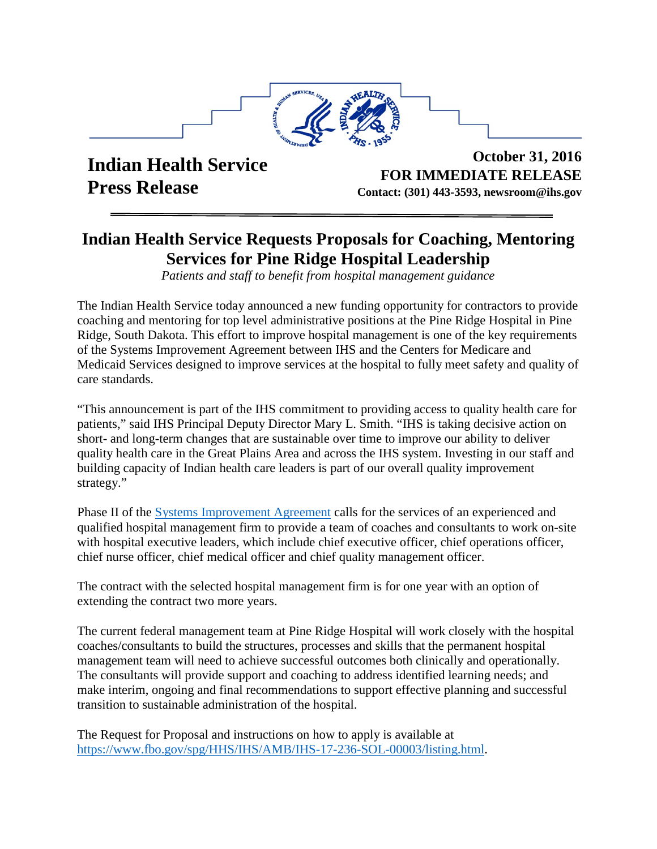

**Indian Health Service Press Release** 

**October 31, 2016 FOR IMMEDIATE RELEASE Contact: (301) 443-3593, newsroom@ihs.gov**

## **Indian Health Service Requests Proposals for Coaching, Mentoring Services for Pine Ridge Hospital Leadership**

*Patients and staff to benefit from hospital management guidance* 

The Indian Health Service today announced a new funding opportunity for contractors to provide coaching and mentoring for top level administrative positions at the Pine Ridge Hospital in Pine Ridge, South Dakota. This effort to improve hospital management is one of the key requirements of the Systems Improvement Agreement between IHS and the Centers for Medicare and Medicaid Services designed to improve services at the hospital to fully meet safety and quality of care standards.

"This announcement is part of the IHS commitment to providing access to quality health care for patients," said IHS Principal Deputy Director Mary L. Smith. "IHS is taking decisive action on short- and long-term changes that are sustainable over time to improve our ability to deliver quality health care in the Great Plains Area and across the IHS system. Investing in our staff and building capacity of Indian health care leaders is part of our overall quality improvement strategy."

Phase II of the [Systems Improvement Agreement](https://www.ihs.gov/newsroom/index.cfm/ihs-blog/may2016/ihs-cms-enter-systems-improvement-agreements-for-rosebud-pine-ridge-hospitals/) calls for the services of an experienced and qualified hospital management firm to provide a team of coaches and consultants to work on-site with hospital executive leaders, which include chief executive officer, chief operations officer, chief nurse officer, chief medical officer and chief quality management officer.

The contract with the selected hospital management firm is for one year with an option of extending the contract two more years.

The current federal management team at Pine Ridge Hospital will work closely with the hospital coaches/consultants to build the structures, processes and skills that the permanent hospital management team will need to achieve successful outcomes both clinically and operationally. The consultants will provide support and coaching to address identified learning needs; and make interim, ongoing and final recommendations to support effective planning and successful transition to sustainable administration of the hospital.

The Request for Proposal and instructions on how to apply is available at [https://www.fbo.gov/spg/HHS/IHS/AMB/IHS-17-236-SOL-00003/listing.html.](https://www.fbo.gov/spg/HHS/IHS/AMB/IHS-17-236-SOL-00003/listing.html)